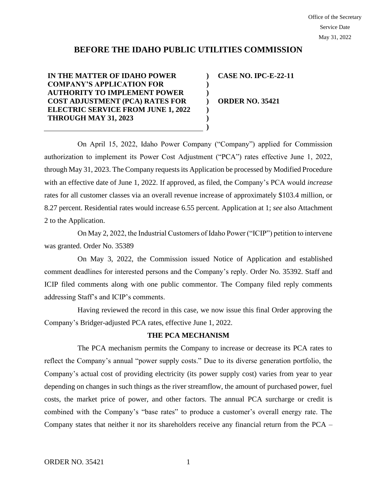# **BEFORE THE IDAHO PUBLIC UTILITIES COMMISSION**

**) ) ) ) ) ) )**

**IN THE MATTER OF IDAHO POWER COMPANY'S APPLICATION FOR AUTHORITY TO IMPLEMENT POWER COST ADJUSTMENT (PCA) RATES FOR ELECTRIC SERVICE FROM JUNE 1, 2022 THROUGH MAY 31, 2023**

**CASE NO. IPC-E-22-11**

**ORDER NO. 35421**

On April 15, 2022, Idaho Power Company ("Company") applied for Commission authorization to implement its Power Cost Adjustment ("PCA") rates effective June 1, 2022, through May 31, 2023. The Company requests its Application be processed by Modified Procedure with an effective date of June 1, 2022. If approved, as filed, the Company's PCA would *increase* rates for all customer classes via an overall revenue increase of approximately \$103.4 million, or 8.27 percent. Residential rates would increase 6.55 percent. Application at 1; *see* also Attachment 2 to the Application.

On May 2, 2022, the Industrial Customers of Idaho Power ("ICIP") petition to intervene was granted. Order No. 35389

On May 3, 2022, the Commission issued Notice of Application and established comment deadlines for interested persons and the Company's reply. Order No. 35392. Staff and ICIP filed comments along with one public commentor. The Company filed reply comments addressing Staff's and ICIP's comments.

Having reviewed the record in this case, we now issue this final Order approving the Company's Bridger-adjusted PCA rates, effective June 1, 2022.

## **THE PCA MECHANISM**

The PCA mechanism permits the Company to increase or decrease its PCA rates to reflect the Company's annual "power supply costs." Due to its diverse generation portfolio, the Company's actual cost of providing electricity (its power supply cost) varies from year to year depending on changes in such things as the river streamflow, the amount of purchased power, fuel costs, the market price of power, and other factors. The annual PCA surcharge or credit is combined with the Company's "base rates" to produce a customer's overall energy rate. The Company states that neither it nor its shareholders receive any financial return from the PCA –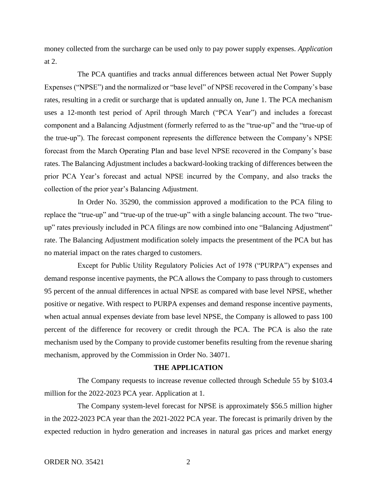money collected from the surcharge can be used only to pay power supply expenses. *Application* at 2.

The PCA quantifies and tracks annual differences between actual Net Power Supply Expenses ("NPSE") and the normalized or "base level" of NPSE recovered in the Company's base rates, resulting in a credit or surcharge that is updated annually on, June 1. The PCA mechanism uses a 12-month test period of April through March ("PCA Year") and includes a forecast component and a Balancing Adjustment (formerly referred to as the "true-up" and the "true-up of the true-up"). The forecast component represents the difference between the Company's NPSE forecast from the March Operating Plan and base level NPSE recovered in the Company's base rates. The Balancing Adjustment includes a backward-looking tracking of differences between the prior PCA Year's forecast and actual NPSE incurred by the Company, and also tracks the collection of the prior year's Balancing Adjustment.

In Order No. 35290, the commission approved a modification to the PCA filing to replace the "true-up" and "true-up of the true-up" with a single balancing account. The two "trueup" rates previously included in PCA filings are now combined into one "Balancing Adjustment" rate. The Balancing Adjustment modification solely impacts the presentment of the PCA but has no material impact on the rates charged to customers.

Except for Public Utility Regulatory Policies Act of 1978 ("PURPA") expenses and demand response incentive payments, the PCA allows the Company to pass through to customers 95 percent of the annual differences in actual NPSE as compared with base level NPSE, whether positive or negative. With respect to PURPA expenses and demand response incentive payments, when actual annual expenses deviate from base level NPSE, the Company is allowed to pass 100 percent of the difference for recovery or credit through the PCA. The PCA is also the rate mechanism used by the Company to provide customer benefits resulting from the revenue sharing mechanism, approved by the Commission in Order No. 34071.

### **THE APPLICATION**

The Company requests to increase revenue collected through Schedule 55 by \$103.4 million for the 2022-2023 PCA year. Application at 1.

The Company system-level forecast for NPSE is approximately \$56.5 million higher in the 2022-2023 PCA year than the 2021-2022 PCA year. The forecast is primarily driven by the expected reduction in hydro generation and increases in natural gas prices and market energy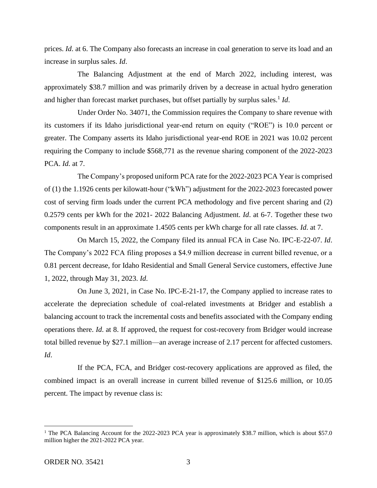prices. *Id.* at 6. The Company also forecasts an increase in coal generation to serve its load and an increase in surplus sales. *Id*.

The Balancing Adjustment at the end of March 2022, including interest, was approximately \$38.7 million and was primarily driven by a decrease in actual hydro generation and higher than forecast market purchases, but offset partially by surplus sales.<sup>1</sup> *Id*.

Under Order No. 34071, the Commission requires the Company to share revenue with its customers if its Idaho jurisdictional year-end return on equity ("ROE") is 10.0 percent or greater. The Company asserts its Idaho jurisdictional year-end ROE in 2021 was 10.02 percent requiring the Company to include \$568,771 as the revenue sharing component of the 2022-2023 PCA. *Id.* at 7.

The Company's proposed uniform PCA rate for the 2022-2023 PCA Year is comprised of (1) the 1.1926 cents per kilowatt-hour ("kWh") adjustment for the 2022-2023 forecasted power cost of serving firm loads under the current PCA methodology and five percent sharing and (2) 0.2579 cents per kWh for the 2021- 2022 Balancing Adjustment. *Id*. at 6-7. Together these two components result in an approximate 1.4505 cents per kWh charge for all rate classes. *Id*. at 7.

On March 15, 2022, the Company filed its annual FCA in Case No. IPC-E-22-07. *Id*. The Company's 2022 FCA filing proposes a \$4.9 million decrease in current billed revenue, or a 0.81 percent decrease, for Idaho Residential and Small General Service customers, effective June 1, 2022, through May 31, 2023. *Id*.

On June 3, 2021, in Case No. IPC-E-21-17, the Company applied to increase rates to accelerate the depreciation schedule of coal-related investments at Bridger and establish a balancing account to track the incremental costs and benefits associated with the Company ending operations there. *Id*. at 8. If approved, the request for cost-recovery from Bridger would increase total billed revenue by \$27.1 million—an average increase of 2.17 percent for affected customers. *Id*.

If the PCA, FCA, and Bridger cost-recovery applications are approved as filed, the combined impact is an overall increase in current billed revenue of \$125.6 million, or 10.05 percent. The impact by revenue class is:

<sup>&</sup>lt;sup>1</sup> The PCA Balancing Account for the 2022-2023 PCA year is approximately \$38.7 million, which is about \$57.0 million higher the 2021-2022 PCA year.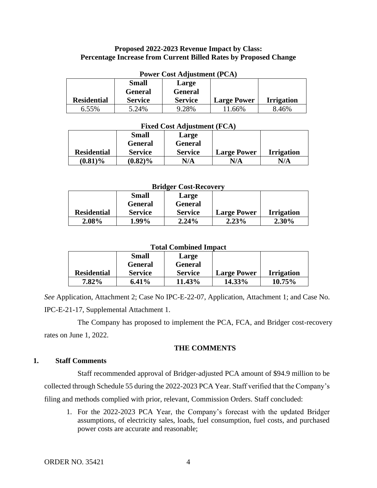## **Proposed 2022-2023 Revenue Impact by Class: Percentage Increase from Current Billed Rates by Proposed Change**

| <b>Power Cost Adjustment (PCA)</b> |                |                |                    |                   |  |
|------------------------------------|----------------|----------------|--------------------|-------------------|--|
|                                    | <b>Small</b>   | Large          |                    |                   |  |
|                                    | <b>General</b> | <b>General</b> |                    |                   |  |
| <b>Residential</b>                 | <b>Service</b> | <b>Service</b> | <b>Large Power</b> | <b>Irrigation</b> |  |
| 6.55%                              | 5.24%          | 9.28%          | 11.66%             | 8.46%             |  |

### **Fixed Cost Adjustment (FCA)**

|                    | <b>Small</b>   | Large          |                    |                   |
|--------------------|----------------|----------------|--------------------|-------------------|
|                    | <b>General</b> | <b>General</b> |                    |                   |
| <b>Residential</b> | <b>Service</b> | <b>Service</b> | <b>Large Power</b> | <b>Irrigation</b> |
| $(0.81)\%$         | $(0.82)\%$     | N/A            | N/A                | N/A               |

#### **Bridger Cost-Recovery**

|                    | <b>Small</b>   | Large          |                    |                   |
|--------------------|----------------|----------------|--------------------|-------------------|
|                    | General        | <b>General</b> |                    |                   |
| <b>Residential</b> | <b>Service</b> | <b>Service</b> | <b>Large Power</b> | <b>Irrigation</b> |
| $2.08\%$           | 1.99%          | $2.24\%$       | 2.23%              | 2.30%             |

## **Total Combined Impact**

|                    | Small          | Large          |                    |                   |
|--------------------|----------------|----------------|--------------------|-------------------|
|                    | General        | <b>General</b> |                    |                   |
| <b>Residential</b> | <b>Service</b> | <b>Service</b> | <b>Large Power</b> | <b>Irrigation</b> |
| $7.82\%$           | $6.41\%$       | 11.43%         | $14.33\%$          | $10.75\%$         |

*See* Application, Attachment 2; Case No IPC-E-22-07, Application, Attachment 1; and Case No. IPC-E-21-17, Supplemental Attachment 1.

The Company has proposed to implement the PCA, FCA, and Bridger cost-recovery rates on June 1, 2022.

## **THE COMMENTS**

## **1. Staff Comments**

Staff recommended approval of Bridger-adjusted PCA amount of \$94.9 million to be collected through Schedule 55 during the 2022-2023 PCA Year. Staff verified that the Company's filing and methods complied with prior, relevant, Commission Orders. Staff concluded:

1. For the 2022-2023 PCA Year, the Company's forecast with the updated Bridger assumptions, of electricity sales, loads, fuel consumption, fuel costs, and purchased power costs are accurate and reasonable;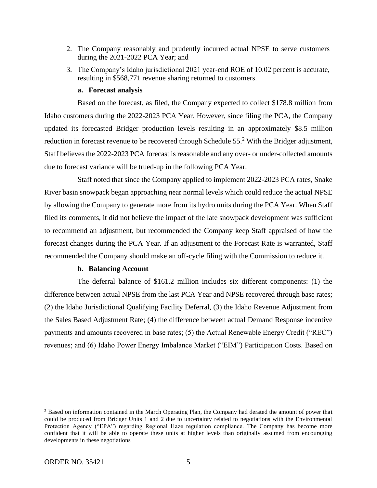- 2. The Company reasonably and prudently incurred actual NPSE to serve customers during the 2021-2022 PCA Year; and
- 3. The Company's Idaho jurisdictional 2021 year-end ROE of 10.02 percent is accurate, resulting in \$568,771 revenue sharing returned to customers.

### **a. Forecast analysis**

Based on the forecast, as filed, the Company expected to collect \$178.8 million from Idaho customers during the 2022-2023 PCA Year. However, since filing the PCA, the Company updated its forecasted Bridger production levels resulting in an approximately \$8.5 million reduction in forecast revenue to be recovered through Schedule  $55<sup>2</sup>$  With the Bridger adjustment, Staff believes the 2022-2023 PCA forecast is reasonable and any over- or under-collected amounts due to forecast variance will be trued-up in the following PCA Year.

Staff noted that since the Company applied to implement 2022-2023 PCA rates, Snake River basin snowpack began approaching near normal levels which could reduce the actual NPSE by allowing the Company to generate more from its hydro units during the PCA Year. When Staff filed its comments, it did not believe the impact of the late snowpack development was sufficient to recommend an adjustment, but recommended the Company keep Staff appraised of how the forecast changes during the PCA Year. If an adjustment to the Forecast Rate is warranted, Staff recommended the Company should make an off-cycle filing with the Commission to reduce it.

## **b. Balancing Account**

The deferral balance of \$161.2 million includes six different components: (1) the difference between actual NPSE from the last PCA Year and NPSE recovered through base rates; (2) the Idaho Jurisdictional Qualifying Facility Deferral, (3) the Idaho Revenue Adjustment from the Sales Based Adjustment Rate; (4) the difference between actual Demand Response incentive payments and amounts recovered in base rates; (5) the Actual Renewable Energy Credit ("REC") revenues; and (6) Idaho Power Energy Imbalance Market ("EIM") Participation Costs. Based on

<sup>2</sup> Based on information contained in the March Operating Plan, the Company had derated the amount of power that could be produced from Bridger Units 1 and 2 due to uncertainty related to negotiations with the Environmental Protection Agency ("EPA") regarding Regional Haze regulation compliance. The Company has become more confident that it will be able to operate these units at higher levels than originally assumed from encouraging developments in these negotiations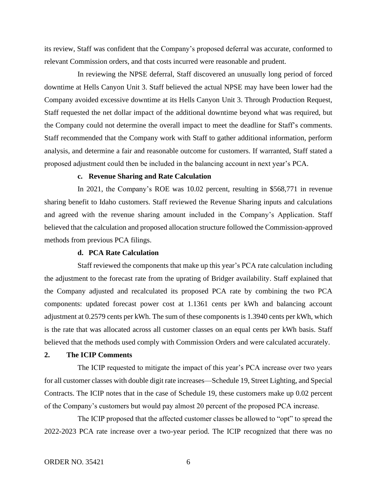its review, Staff was confident that the Company's proposed deferral was accurate, conformed to relevant Commission orders, and that costs incurred were reasonable and prudent.

In reviewing the NPSE deferral, Staff discovered an unusually long period of forced downtime at Hells Canyon Unit 3. Staff believed the actual NPSE may have been lower had the Company avoided excessive downtime at its Hells Canyon Unit 3. Through Production Request, Staff requested the net dollar impact of the additional downtime beyond what was required, but the Company could not determine the overall impact to meet the deadline for Staff's comments. Staff recommended that the Company work with Staff to gather additional information, perform analysis, and determine a fair and reasonable outcome for customers. If warranted, Staff stated a proposed adjustment could then be included in the balancing account in next year's PCA.

### **c. Revenue Sharing and Rate Calculation**

In 2021, the Company's ROE was 10.02 percent, resulting in \$568,771 in revenue sharing benefit to Idaho customers. Staff reviewed the Revenue Sharing inputs and calculations and agreed with the revenue sharing amount included in the Company's Application. Staff believed that the calculation and proposed allocation structure followed the Commission-approved methods from previous PCA filings.

### **d. PCA Rate Calculation**

Staff reviewed the components that make up this year's PCA rate calculation including the adjustment to the forecast rate from the uprating of Bridger availability. Staff explained that the Company adjusted and recalculated its proposed PCA rate by combining the two PCA components: updated forecast power cost at 1.1361 cents per kWh and balancing account adjustment at 0.2579 cents per kWh. The sum of these components is 1.3940 cents per kWh, which is the rate that was allocated across all customer classes on an equal cents per kWh basis. Staff believed that the methods used comply with Commission Orders and were calculated accurately.

#### **2. The ICIP Comments**

The ICIP requested to mitigate the impact of this year's PCA increase over two years for all customer classes with double digit rate increases—Schedule 19, Street Lighting, and Special Contracts. The ICIP notes that in the case of Schedule 19, these customers make up 0.02 percent of the Company's customers but would pay almost 20 percent of the proposed PCA increase.

The ICIP proposed that the affected customer classes be allowed to "opt" to spread the 2022-2023 PCA rate increase over a two-year period. The ICIP recognized that there was no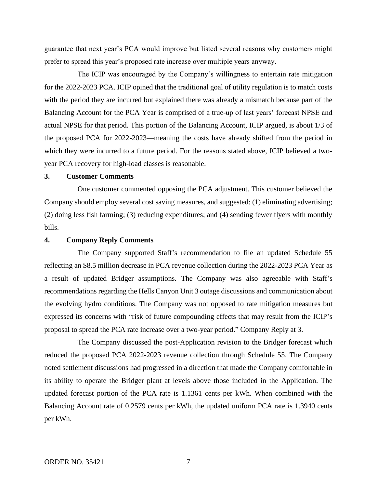guarantee that next year's PCA would improve but listed several reasons why customers might prefer to spread this year's proposed rate increase over multiple years anyway.

The ICIP was encouraged by the Company's willingness to entertain rate mitigation for the 2022-2023 PCA. ICIP opined that the traditional goal of utility regulation is to match costs with the period they are incurred but explained there was already a mismatch because part of the Balancing Account for the PCA Year is comprised of a true-up of last years' forecast NPSE and actual NPSE for that period. This portion of the Balancing Account, ICIP argued, is about 1/3 of the proposed PCA for 2022-2023—meaning the costs have already shifted from the period in which they were incurred to a future period. For the reasons stated above, ICIP believed a twoyear PCA recovery for high-load classes is reasonable.

## **3. Customer Comments**

One customer commented opposing the PCA adjustment. This customer believed the Company should employ several cost saving measures, and suggested: (1) eliminating advertising; (2) doing less fish farming; (3) reducing expenditures; and (4) sending fewer flyers with monthly bills.

#### **4. Company Reply Comments**

The Company supported Staff's recommendation to file an updated Schedule 55 reflecting an \$8.5 million decrease in PCA revenue collection during the 2022-2023 PCA Year as a result of updated Bridger assumptions. The Company was also agreeable with Staff's recommendations regarding the Hells Canyon Unit 3 outage discussions and communication about the evolving hydro conditions. The Company was not opposed to rate mitigation measures but expressed its concerns with "risk of future compounding effects that may result from the ICIP's proposal to spread the PCA rate increase over a two-year period." Company Reply at 3.

The Company discussed the post-Application revision to the Bridger forecast which reduced the proposed PCA 2022-2023 revenue collection through Schedule 55. The Company noted settlement discussions had progressed in a direction that made the Company comfortable in its ability to operate the Bridger plant at levels above those included in the Application. The updated forecast portion of the PCA rate is 1.1361 cents per kWh. When combined with the Balancing Account rate of 0.2579 cents per kWh, the updated uniform PCA rate is 1.3940 cents per kWh.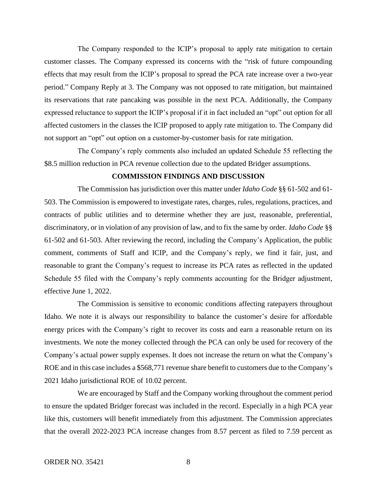The Company responded to the ICIP's proposal to apply rate mitigation to certain customer classes. The Company expressed its concerns with the "risk of future compounding effects that may result from the ICIP's proposal to spread the PCA rate increase over a two-year period." Company Reply at 3. The Company was not opposed to rate mitigation, but maintained its reservations that rate pancaking was possible in the next PCA. Additionally, the Company expressed reluctance to support the ICIP's proposal if it in fact included an "opt" out option for all affected customers in the classes the ICIP proposed to apply rate mitigation to. The Company did not support an "opt" out option on a customer-by-customer basis for rate mitigation.

The Company's reply comments also included an updated Schedule 55 reflecting the \$8.5 million reduction in PCA revenue collection due to the updated Bridger assumptions.

### **COMMISSION FINDINGS AND DISCUSSION**

The Commission has jurisdiction over this matter under *Idaho Code* §§ 61-502 and 61- 503. The Commission is empowered to investigate rates, charges, rules, regulations, practices, and contracts of public utilities and to determine whether they are just, reasonable, preferential, discriminatory, or in violation of any provision of law, and to fix the same by order. *Idaho Code* §§ 61-502 and 61-503. After reviewing the record, including the Company's Application, the public comment, comments of Staff and ICIP, and the Company's reply, we find it fair, just, and reasonable to grant the Company's request to increase its PCA rates as reflected in the updated Schedule 55 filed with the Company's reply comments accounting for the Bridger adjustment, effective June 1, 2022.

The Commission is sensitive to economic conditions affecting ratepayers throughout Idaho. We note it is always our responsibility to balance the customer's desire for affordable energy prices with the Company's right to recover its costs and earn a reasonable return on its investments. We note the money collected through the PCA can only be used for recovery of the Company's actual power supply expenses. It does not increase the return on what the Company's ROE and in this case includes a \$568,771 revenue share benefit to customers due to the Company's 2021 Idaho jurisdictional ROE of 10.02 percent.

We are encouraged by Staff and the Company working throughout the comment period to ensure the updated Bridger forecast was included in the record. Especially in a high PCA year like this, customers will benefit immediately from this adjustment. The Commission appreciates that the overall 2022-2023 PCA increase changes from 8.57 percent as filed to 7.59 percent as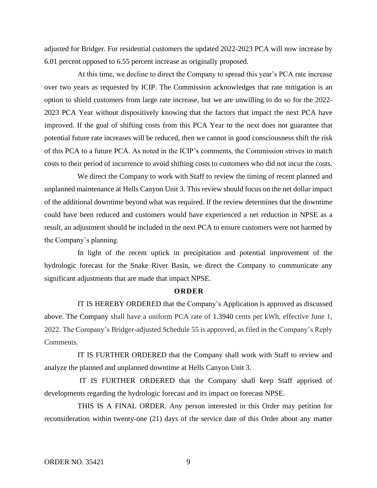adjusted for Bridger. For residential customers the updated 2022-2023 PCA will now increase by 6.01 percent opposed to 6.55 percent increase as originally proposed.

At this time, we decline to direct the Company to spread this year's PCA rate increase over two years as requested by ICIP. The Commission acknowledges that rate mitigation is an option to shield customers from large rate increase, but we are unwilling to do so for the 2022- 2023 PCA Year without dispositively knowing that the factors that impact the next PCA have improved. If the goal of shifting costs from this PCA Year to the next does not guarantee that potential future rate increases will be reduced, then we cannot in good consciousness shift the risk of this PCA to a future PCA. As noted in the ICIP's comments, the Commission strives to match costs to their period of incurrence to avoid shifting costs to customers who did not incur the costs.

We direct the Company to work with Staff to review the timing of recent planned and unplanned maintenance at Hells Canyon Unit 3. This review should focus on the net dollar impact of the additional downtime beyond what was required. If the review determines that the downtime could have been reduced and customers would have experienced a net reduction in NPSE as a result, an adjustment should be included in the next PCA to ensure customers were not harmed by the Company's planning.

In light of the recent uptick in precipitation and potential improvement of the hydrologic forecast for the Snake River Basin, we direct the Company to communicate any significant adjustments that are made that impact NPSE.

#### **O R D E R**

IT IS HEREBY ORDERED that the Company's Application is approved as discussed above. The Company shall have a uniform PCA rate of 1.3940 cents per kWh, effective June 1, 2022. The Company's Bridger-adjusted Schedule 55 is approved, as filed in the Company's Reply Comments.

IT IS FURTHER ORDERED that the Company shall work with Staff to review and analyze the planned and unplanned downtime at Hells Canyon Unit 3.

IT IS FURTHER ORDERED that the Company shall keep Staff apprised of developments regarding the hydrologic forecast and its impact on forecast NPSE.

THIS IS A FINAL ORDER. Any person interested in this Order may petition for reconsideration within twenty-one (21) days of the service date of this Order about any matter